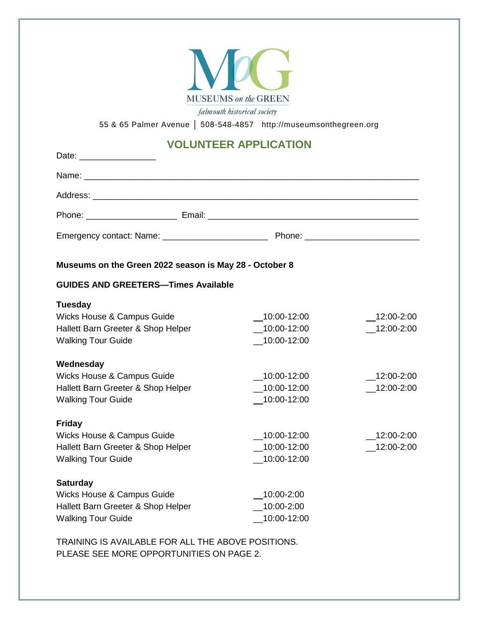

falmouth historical society

55 & 65 Palmer Avenue │ 508-548-4857 http://museumsonthegreen.org

# **VOLUNTEER APPLICATION**

| Museums on the Green 2022 season is May 28 - October 8                                                           |                                              |                          |
|------------------------------------------------------------------------------------------------------------------|----------------------------------------------|--------------------------|
| <b>GUIDES AND GREETERS-Times Available</b>                                                                       |                                              |                          |
| <b>Tuesday</b><br>Wicks House & Campus Guide<br>Hallett Barn Greeter & Shop Helper<br><b>Walking Tour Guide</b>  | $-10:00-12:00$<br>10:00-12:00<br>10:00-12:00 | 12:00-2:00<br>12:00-2:00 |
| Wednesday<br>Wicks House & Campus Guide                                                                          | 10:00-12:00                                  | 12:00-2:00               |
| Hallett Barn Greeter & Shop Helper<br><b>Walking Tour Guide</b>                                                  | 10:00-12:00<br>$-10:00-12:00$                | 12:00-2:00               |
| <b>Friday</b><br>Wicks House & Campus Guide<br>Hallett Barn Greeter & Shop Helper<br><b>Walking Tour Guide</b>   | 10:00-12:00<br>10:00-12:00<br>10:00-12:00    | 12:00-2:00<br>12:00-2:00 |
| <b>Saturday</b><br>Wicks House & Campus Guide<br>Hallett Barn Greeter & Shop Helper<br><b>Walking Tour Guide</b> | 10:00-2:00<br>10:00-2:00<br>10:00-12:00      |                          |

TRAINING IS AVAILABLE FOR ALL THE ABOVE POSITIONS. PLEASE SEE MORE OPPORTUNITIES ON PAGE 2.